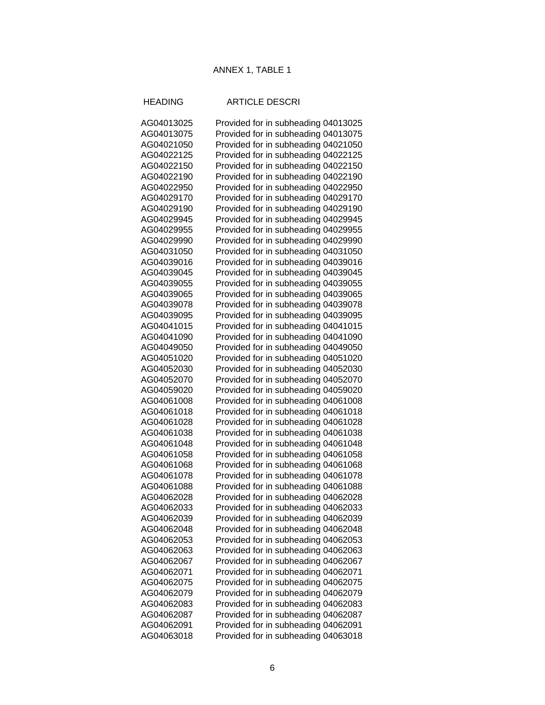## ANNEX 1, TABLE 1

## HEADING ARTICLE DESCRI

| AG04013025 | Provided for in subheading 04013025 |
|------------|-------------------------------------|
| AG04013075 | Provided for in subheading 04013075 |
| AG04021050 | Provided for in subheading 04021050 |
| AG04022125 | Provided for in subheading 04022125 |
| AG04022150 | Provided for in subheading 04022150 |
| AG04022190 | Provided for in subheading 04022190 |
| AG04022950 | Provided for in subheading 04022950 |
| AG04029170 | Provided for in subheading 04029170 |
| AG04029190 | Provided for in subheading 04029190 |
| AG04029945 | Provided for in subheading 04029945 |
| AG04029955 | Provided for in subheading 04029955 |
| AG04029990 | Provided for in subheading 04029990 |
| AG04031050 | Provided for in subheading 04031050 |
| AG04039016 | Provided for in subheading 04039016 |
| AG04039045 | Provided for in subheading 04039045 |
| AG04039055 | Provided for in subheading 04039055 |
| AG04039065 | Provided for in subheading 04039065 |
| AG04039078 | Provided for in subheading 04039078 |
| AG04039095 | Provided for in subheading 04039095 |
| AG04041015 | Provided for in subheading 04041015 |
| AG04041090 | Provided for in subheading 04041090 |
| AG04049050 | Provided for in subheading 04049050 |
| AG04051020 | Provided for in subheading 04051020 |
| AG04052030 | Provided for in subheading 04052030 |
| AG04052070 | Provided for in subheading 04052070 |
| AG04059020 | Provided for in subheading 04059020 |
| AG04061008 | Provided for in subheading 04061008 |
| AG04061018 | Provided for in subheading 04061018 |
| AG04061028 | Provided for in subheading 04061028 |
| AG04061038 | Provided for in subheading 04061038 |
| AG04061048 | Provided for in subheading 04061048 |
| AG04061058 | Provided for in subheading 04061058 |
| AG04061068 | Provided for in subheading 04061068 |
| AG04061078 | Provided for in subheading 04061078 |
| AG04061088 | Provided for in subheading 04061088 |
| AG04062028 | Provided for in subheading 04062028 |
| AG04062033 | Provided for in subheading 04062033 |
| AG04062039 | Provided for in subheading 04062039 |
| AG04062048 | Provided for in subheading 04062048 |
| AG04062053 | Provided for in subheading 04062053 |
| AG04062063 | Provided for in subheading 04062063 |
| AG04062067 | Provided for in subheading 04062067 |
| AG04062071 | Provided for in subheading 04062071 |
| AG04062075 | Provided for in subheading 04062075 |
| AG04062079 | Provided for in subheading 04062079 |
| AG04062083 | Provided for in subheading 04062083 |
| AG04062087 | Provided for in subheading 04062087 |
| AG04062091 | Provided for in subheading 04062091 |
| AG04063018 | Provided for in subheading 04063018 |
|            |                                     |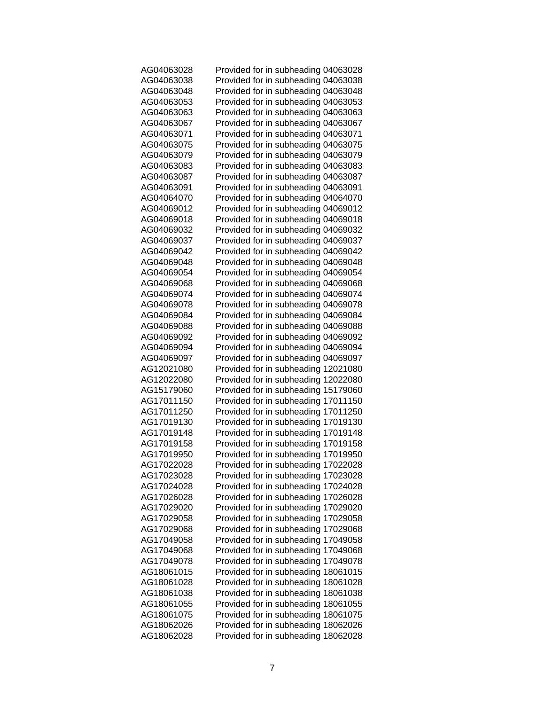| AG04063028 | Provided for in subheading 04063028 |
|------------|-------------------------------------|
| AG04063038 | Provided for in subheading 04063038 |
| AG04063048 | Provided for in subheading 04063048 |
| AG04063053 | Provided for in subheading 04063053 |
| AG04063063 | Provided for in subheading 04063063 |
| AG04063067 | Provided for in subheading 04063067 |
| AG04063071 | Provided for in subheading 04063071 |
| AG04063075 | Provided for in subheading 04063075 |
| AG04063079 | Provided for in subheading 04063079 |
| AG04063083 | Provided for in subheading 04063083 |
| AG04063087 | Provided for in subheading 04063087 |
| AG04063091 | Provided for in subheading 04063091 |
| AG04064070 | Provided for in subheading 04064070 |
| AG04069012 | Provided for in subheading 04069012 |
| AG04069018 | Provided for in subheading 04069018 |
| AG04069032 | Provided for in subheading 04069032 |
| AG04069037 | Provided for in subheading 04069037 |
| AG04069042 | Provided for in subheading 04069042 |
| AG04069048 | Provided for in subheading 04069048 |
| AG04069054 | Provided for in subheading 04069054 |
| AG04069068 | Provided for in subheading 04069068 |
| AG04069074 | Provided for in subheading 04069074 |
| AG04069078 | Provided for in subheading 04069078 |
| AG04069084 | Provided for in subheading 04069084 |
| AG04069088 | Provided for in subheading 04069088 |
| AG04069092 | Provided for in subheading 04069092 |
| AG04069094 | Provided for in subheading 04069094 |
| AG04069097 | Provided for in subheading 04069097 |
| AG12021080 | Provided for in subheading 12021080 |
| AG12022080 | Provided for in subheading 12022080 |
| AG15179060 | Provided for in subheading 15179060 |
| AG17011150 | Provided for in subheading 17011150 |
| AG17011250 | Provided for in subheading 17011250 |
| AG17019130 | Provided for in subheading 17019130 |
| AG17019148 | Provided for in subheading 17019148 |
| AG17019158 | Provided for in subheading 17019158 |
| AG17019950 | Provided for in subheading 17019950 |
| AG17022028 | Provided for in subheading 17022028 |
| AG17023028 | Provided for in subheading 17023028 |
| AG17024028 | Provided for in subheading 17024028 |
| AG17026028 | Provided for in subheading 17026028 |
| AG17029020 | Provided for in subheading 17029020 |
| AG17029058 | Provided for in subheading 17029058 |
| AG17029068 | Provided for in subheading 17029068 |
| AG17049058 | Provided for in subheading 17049058 |
| AG17049068 | Provided for in subheading 17049068 |
| AG17049078 | Provided for in subheading 17049078 |
| AG18061015 | Provided for in subheading 18061015 |
| AG18061028 | Provided for in subheading 18061028 |
| AG18061038 | Provided for in subheading 18061038 |
| AG18061055 | Provided for in subheading 18061055 |
| AG18061075 | Provided for in subheading 18061075 |
| AG18062026 | Provided for in subheading 18062026 |
| AG18062028 | Provided for in subheading 18062028 |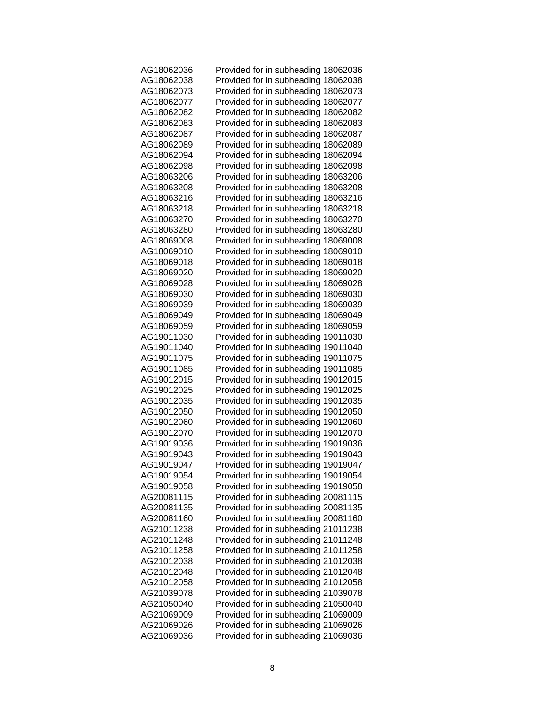| AG18062036 | Provided for in subheading 18062036 |
|------------|-------------------------------------|
| AG18062038 | Provided for in subheading 18062038 |
| AG18062073 | Provided for in subheading 18062073 |
| AG18062077 | Provided for in subheading 18062077 |
| AG18062082 | Provided for in subheading 18062082 |
| AG18062083 | Provided for in subheading 18062083 |
| AG18062087 | Provided for in subheading 18062087 |
| AG18062089 | Provided for in subheading 18062089 |
| AG18062094 | Provided for in subheading 18062094 |
| AG18062098 | Provided for in subheading 18062098 |
| AG18063206 | Provided for in subheading 18063206 |
| AG18063208 | Provided for in subheading 18063208 |
| AG18063216 | Provided for in subheading 18063216 |
| AG18063218 | Provided for in subheading 18063218 |
| AG18063270 | Provided for in subheading 18063270 |
| AG18063280 | Provided for in subheading 18063280 |
| AG18069008 | Provided for in subheading 18069008 |
| AG18069010 | Provided for in subheading 18069010 |
| AG18069018 | Provided for in subheading 18069018 |
| AG18069020 | Provided for in subheading 18069020 |
| AG18069028 | Provided for in subheading 18069028 |
| AG18069030 | Provided for in subheading 18069030 |
| AG18069039 | Provided for in subheading 18069039 |
| AG18069049 | Provided for in subheading 18069049 |
| AG18069059 | Provided for in subheading 18069059 |
| AG19011030 | Provided for in subheading 19011030 |
| AG19011040 | Provided for in subheading 19011040 |
| AG19011075 | Provided for in subheading 19011075 |
| AG19011085 |                                     |
| AG19012015 | Provided for in subheading 19011085 |
|            | Provided for in subheading 19012015 |
| AG19012025 | Provided for in subheading 19012025 |
| AG19012035 | Provided for in subheading 19012035 |
| AG19012050 | Provided for in subheading 19012050 |
| AG19012060 | Provided for in subheading 19012060 |
| AG19012070 | Provided for in subheading 19012070 |
| AG19019036 | Provided for in subheading 19019036 |
| AG19019043 | Provided for in subheading 19019043 |
| AG19019047 | Provided for in subheading 19019047 |
| AG19019054 | Provided for in subheading 19019054 |
| AG19019058 | Provided for in subheading 19019058 |
| AG20081115 | Provided for in subheading 20081115 |
| AG20081135 | Provided for in subheading 20081135 |
| AG20081160 | Provided for in subheading 20081160 |
| AG21011238 | Provided for in subheading 21011238 |
| AG21011248 | Provided for in subheading 21011248 |
| AG21011258 | Provided for in subheading 21011258 |
| AG21012038 | Provided for in subheading 21012038 |
| AG21012048 | Provided for in subheading 21012048 |
| AG21012058 | Provided for in subheading 21012058 |
| AG21039078 | Provided for in subheading 21039078 |
| AG21050040 | Provided for in subheading 21050040 |
| AG21069009 | Provided for in subheading 21069009 |
| AG21069026 | Provided for in subheading 21069026 |
| AG21069036 | Provided for in subheading 21069036 |